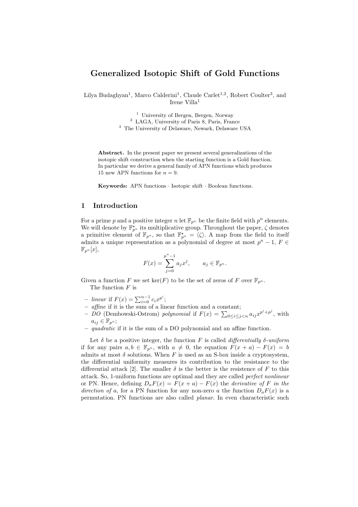# Generalized Isotopic Shift of Gold Functions

Lilya Budaghyan<sup>1</sup>, Marco Calderini<sup>1</sup>, Claude Carlet<sup>1,2</sup>, Robert Coulter<sup>3</sup>, and Irene Villa<sup>1</sup>

> <sup>1</sup> University of Bergen, Bergen, Norway <sup>2</sup> LAGA, University of Paris 8, Paris, France

<sup>3</sup> The University of Delaware, Newark, Delaware USA

Abstract. In the present paper we present several generalizations of the isotopic shift construction when the starting function is a Gold function. In particular we derive a general family of APN functions which produces 15 new APN functions for  $n = 9$ .

Keywords: APN functions · Isotopic shift · Boolean functions.

### 1 Introduction

For a prime p and a positive integer n let  $\mathbb{F}_{p^n}$  be the finite field with  $p^n$  elements. We will denote by  $\mathbb{F}_{p^n}^{\star}$  its multiplicative group. Throughout the paper,  $\zeta$  denotes a primitive element of  $\mathbb{F}_{p^n}$ , so that  $\mathbb{F}_{p^n}^{\star} = \langle \zeta \rangle$ . A map from the field to itself admits a unique representation as a polynomial of degree at most  $p^{n} - 1$ ,  $F \in$  $\mathbb{F}_{p^n}[x],$ 

$$
F(x) = \sum_{j=0}^{p^n - 1} a_j x^j, \qquad a_j \in \mathbb{F}_{p^n}.
$$

Given a function F we set  $\ker(F)$  to be the set of zeros of F over  $\mathbb{F}_{p^n}$ . The function  $F$  is

- linear if  $F(x) = \sum_{i=0}^{n-1} c_i x^{p^i}$ ;
- affine if it is the sum of a linear function and a constant;
- DO (Dembowski-Ostrom) polynomial if  $F(x) = \sum_{0 \le i \le j \le n} a_{ij} x^{p^i + p^j}$ , with  $a_{ij} \in \mathbb{F}_{p^n};$
- $-$  quadratic if it is the sum of a DO polynomial and an affine function.

Let  $\delta$  be a positive integer, the function F is called *differentially*  $\delta$ -uniform if for any pairs  $a, b \in \mathbb{F}_{p^n}$ , with  $a \neq 0$ , the equation  $F(x + a) - F(x) = b$ admits at most  $\delta$  solutions. When F is used as an S-box inside a cryptosystem, the differential uniformity measures its contribution to the resistance to the differential attack [2]. The smaller  $\delta$  is the better is the resistence of F to this attack. So, 1-uniform functions are optimal and they are called perfect nonlinear or PN. Hence, defining  $D_aF(x) = F(x+a) - F(x)$  the *derivative of* F in the direction of a, for a PN function for any non-zero a the function  $D_a F(x)$  is a permutation. PN functions are also called planar. In even characteristic such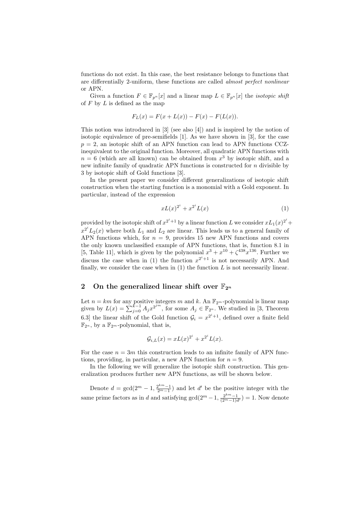functions do not exist. In this case, the best resistance belongs to functions that are differentially 2-uniform, these functions are called almost perfect nonlinear or APN.

Given a function  $F \in \mathbb{F}_{p^n}[x]$  and a linear map  $L \in \mathbb{F}_{p^n}[x]$  the *isotopic shift* of  $F$  by  $L$  is defined as the map

$$
F_L(x) = F(x + L(x)) - F(x) - F(L(x)).
$$

This notion was introduced in [3] (see also [4]) and is inspired by the notion of isotopic equivalence of pre-semifields [1]. As we have shown in [3], for the case  $p = 2$ , an isotopic shift of an APN function can lead to APN functions CCZinequivalent to the original function. Moreover, all quadratic APN functions with  $n = 6$  (which are all known) can be obtained from  $x^3$  by isotopic shift, and a new infinite family of quadratic APN functions is constructed for  $n$  divisible by 3 by isotopic shift of Gold functions [3].

In the present paper we consider different generalizations of isotopic shift construction when the starting function is a monomial with a Gold exponent. In particular, instead of the expression

$$
xL(x)^{2^i} + x^{2^i}L(x)
$$
 (1)

provided by the isotopic shift of  $x^{2^i+1}$  by a linear function L we consider  $xL_1(x)^{2^i} +$  $x^{2^i}L_2(x)$  where both  $L_1$  and  $L_2$  are linear. This leads us to a general family of APN functions which, for  $n = 9$ , provides 15 new APN functions and covers the only known unclassified example of APN functions, that is, function 8.1 in [5, Table 11], which is given by the polynomial  $x^3 + x^{10} + \zeta^{438} x^{136}$ . Further we discuss the case when in (1) the function  $x^{2^i+1}$  is not necessarily APN. And finally, we consider the case when in  $(1)$  the function  $L$  is not necessarily linear.

# 2 On the generalized linear shift over  $\mathbb{F}_{2^n}$

Let  $n = km$  for any positive integers m and k. An  $\mathbb{F}_{2^m}$ -polynomial is linear map given by  $L(x) = \sum_{j=0}^{k-1} A_j x^{2^{jm}}$ , for some  $A_j \in \mathbb{F}_{2^n}$ . We studied in [3, Theorem 6.3] the linear shift of the Gold function  $\mathcal{G}_i = x^{2^i+1}$ , defined over a finite field  $\mathbb{F}_{2^n}$ , by a  $\mathbb{F}_{2^m}$ -polynomial, that is,

$$
\mathcal{G}_{i,L}(x) = xL(x)^{2^i} + x^{2^i}L(x).
$$

For the case  $n = 3m$  this construction leads to an infinite family of APN functions, providing, in particular, a new APN function for  $n = 9$ .

In the following we will generalize the isotopic shift construction. This generalization produces further new APN functions, as will be shown below.

Denote  $d = \gcd(2^m - 1, \frac{2^{km}-1}{2^m-1})$  and let d' be the positive integer with the same prime factors as in d and satisfying  $gcd(2^m-1, \frac{2^{km}-1}{(2^m-1)d}) = 1$ . Now denote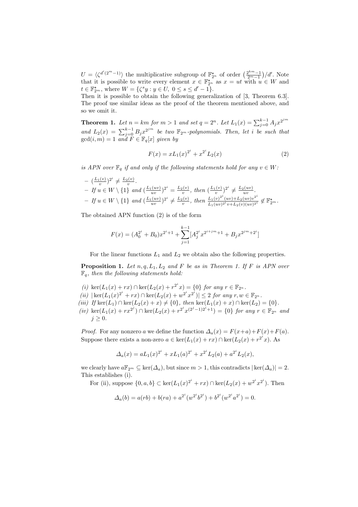$U = \langle \zeta^{d'(2^m-1)} \rangle$  the multiplicative subgroup of  $\mathbb{F}_{2^n}^{\star}$  of order  $\left(\frac{2^{km}-1}{2^m-1}\right)/d'$ . Note that it is possible to write every element  $x \in \mathbb{F}_{2^n}^{\star}$  as  $x = ut$  with  $u \in W$  and  $t \in \mathbb{F}_{2^m}^{\star}$ , where  $W = \{ \zeta^s y : y \in U, 0 \le s \le d' - 1 \}.$ 

Then it is possible to obtain the following generalization of [3, Theorem 6.3]. The proof use similar ideas as the proof of the theorem mentioned above, and so we omit it.

**Theorem 1.** Let  $n = km$  for  $m > 1$  and set  $q = 2^n$ . Let  $L_1(x) = \sum_{j=0}^{k-1} A_j x^{2^{jm}}$ and  $L_2(x) = \sum_{j=0}^{k-1} B_j x^{2^{jm}}$  be two  $\mathbb{F}_{2^m}$ -polynomials. Then, let i be such that  $gcd(i, m) = 1$  and  $F \in \mathbb{F}_q[x]$  given by

$$
F(x) = xL_1(x)^{2^i} + x^{2^i}L_2(x)
$$
\n(2)

is APN over  $\mathbb{F}_q$  if and only if the following statements hold for any  $v \in W$ :

$$
- \left( \frac{L_1(v)}{v} \right)^{2^i} \neq \frac{L_2(v)}{v}.
$$
  
\n
$$
- If u \in W \setminus \{1\} and \left( \frac{L_1(uv)}{uv} \right)^{2^i} = \frac{L_2(v)}{v}, then \left( \frac{L_1(v)}{v} \right)^{2^i} \neq \frac{L_2(uv)}{uv}.
$$
  
\n
$$
- If u \in W \setminus \{1\} and \left( \frac{L_1(uv)}{uv} \right)^{2^i} \neq \frac{L_2(v)}{v}, then \frac{L_1(v)^{2^i}(uv) + L_2(uv)v^{2^i}}{L_1(uv)^{2^i}v + L_2(v)(uv)^{2^i}} \notin \mathbb{F}_2^{\star} m.
$$

The obtained APN function (2) is of the form

$$
F(x) = (A_0^{2^i} + B_0)x^{2^i+1} + \sum_{j=1}^{k-1} [A_j^{2^i}x^{2^{i+jm}+1} + B_jx^{2^{jm}+2^i}]
$$

For the linear functions  $L_1$  and  $L_2$  we obtain also the following properties.

**Proposition 1.** Let  $n, q, L_1, L_2$  and F be as in Theorem 1. If F is APN over  $\mathbb{F}_q$ , then the following statements hold:

- (i)  $\ker(L_1(x) + rx) \cap \ker(L_2(x) + r^{2^i}x) = \{0\}$  for any  $r \in \mathbb{F}_{2^n}$ .
- (ii)  $|\ker(L_1(x)^{2^i} + rx) \cap \ker(L_2(x) + w^{2^i}x^{2^i})| \leq 2$  for any  $r, w \in \mathbb{F}_{2^n}$ .
- (iii) If ker(L<sub>1</sub>) ∩ ker(L<sub>2</sub>(x) + x)  $\neq$  {0}, then ker(L<sub>1</sub>(x) + x) ∩ ker(L<sub>2</sub>) = {0}.
- (iv)  $\text{ker}(L_1(x) + rx^{2^j}) \cap \text{ker}(L_2(x) + r^{2^i}x^{(2^j-1)2^i+1}) = \{0\}$  for any  $r \in \mathbb{F}_{2^n}$  and  $j \geq 0$ .

*Proof.* For any nonzero a we define the function  $\Delta_a(x) = F(x+a) + F(x) + F(a)$ . Suppose there exists a non-zero  $a \in \ker(L_1(x) + rx) \cap \ker(L_2(x) + r^{2^i}x)$ . As

$$
\Delta_a(x) = aL_1(x)^{2^i} + xL_1(a)^{2^i} + x^{2^i}L_2(a) + a^{2^i}L_2(x),
$$

we clearly have  $a\mathbb{F}_{2^m} \subseteq \text{ker}(\Delta_a)$ , but since  $m > 1$ , this contradicts  $|\text{ker}(\Delta_a)| = 2$ . This establishes (i).

For (ii), suppose  $\{0, a, b\} \subset \ker(L_1(x)^{2^i} + rx) \cap \ker(L_2(x) + w^{2^i}x^{2^i})$ . Then

$$
\Delta_a(b) = a(rb) + b(ra) + a^{2^i} (w^{2^i} b^{2^i}) + b^{2^i} (w^{2^i} a^{2^i}) = 0.
$$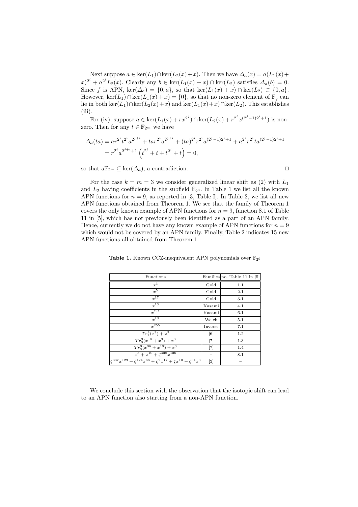Next suppose  $a \in \ker(L_1) \cap \ker(L_2(x)+x)$ . Then we have  $\Delta_a(x) = a(L_1(x)+x)$  $(x)^{2^i} + a^{2^i} L_2(x)$ . Clearly any  $b \in \text{ker}(L_1(x) + x) \cap \text{ker}(L_2)$  satisfies  $\Delta_a(b) = 0$ . Since f is APN, ker( $\Delta_a$ ) = {0, a}, so that ker( $L_1(x) + x$ ) ∩ ker( $L_2$ ) ⊂ {0, a}. However,  $\ker(L_1) \cap \ker(L_1(x) + x) = \{0\}$ , so that no non-zero element of  $\mathbb{F}_q$  can lie in both ker(L<sub>1</sub>)∩ker(L<sub>2</sub>(x)+x) and ker(L<sub>1</sub>(x)+x)∩ker(L<sub>2</sub>). This establishes (iii).

For (iv), suppose  $a \in \ker(L_1(x) + rx^{2^j}) \cap \ker(L_2(x) + r^{2^i}x^{(2^j-1)2^i+1})$  is nonzero. Then for any  $t \in \mathbb{F}_{2^m}$  we have

$$
\Delta_a(ta) = ar^{2^i}t^{2^i}a^{2^{j+i}} + tar^{2^i}a^{2^{j+i}} + (ta)^{2^i}r^{2^i}a^{(2^j-1)2^i+1} + a^{2^i}r^{2^i}ta^{(2^j-1)2^i+1}
$$
  
=  $r^{2^i}a^{2^{j+i}+1}\left(t^{2^i} + t + t^{2^i} + t\right) = 0,$ 

so that  $a\mathbb{F}_{2^m} \subseteq \text{ker}(\Delta_a)$ , a contradiction.

For the case  $k = m = 3$  we consider generalized linear shift as (2) with  $L_1$ and  $L_2$  having coefficients in the subfield  $\mathbb{F}_{2^3}$ . In Table 1 we list all the known APN functions for  $n = 9$ , as reported in [3, Table I]. In Table 2, we list all new APN functions obtained from Theorem 1. We see that the family of Theorem 1 covers the only known example of APN functions for  $n = 9$ , function 8.1 of Table 11 in [5], which has not previously been identified as a part of an APN family. Hence, currently we do not have any known example of APN functions for  $n = 9$ which would not be covered by an APN family. Finally, Table 2 indicates 15 new APN functions all obtained from Theorem 1.

|  | <b>Table 1.</b> Known CCZ-inequivalent APN polynomials over $\mathbb{F}_{29}$ |  |  |  |  |
|--|-------------------------------------------------------------------------------|--|--|--|--|
|--|-------------------------------------------------------------------------------|--|--|--|--|

| Functions                                                                                          |                   | Families no. Table 11 in $[5]$ |
|----------------------------------------------------------------------------------------------------|-------------------|--------------------------------|
| $x^3$                                                                                              | Gold              | 1.1                            |
| $x^5$                                                                                              | Gold              | 2.1                            |
| $x^{17}$                                                                                           | Gold              | 3.1                            |
| $r^{13}$                                                                                           | Kasami            | 4.1                            |
| $r^{241}$                                                                                          | Kasami            | 6.1                            |
| $r^{19}$                                                                                           | Welch             | 5.1                            |
| $x^{255}$                                                                                          | Inverse           | 7.1                            |
| $Tr_1^9(x^9) + x^3$                                                                                | $\lceil 6 \rceil$ | 1.2                            |
| $\overline{Tr_3^9(x^{18}+x^9)}+x^3$                                                                | $[7]$             | 1.3                            |
| $Tr_2^9(x^{36}+x^{18})+x^3$                                                                        | $[7]$             | 1.4                            |
| $x^3 + x^{10} + \zeta^{438} x^{136}$                                                               | $\hspace{0.5cm}$  | 8.1                            |
| $\zeta^{337}x^{129} + \overline{\zeta^{424}x^{66} + \zeta^2x^{17} + \zeta x^{10} + \zeta^{34}x^3}$ | $[3]$             |                                |

We conclude this section with the observation that the isotopic shift can lead to an APN function also starting from a non-APN function.

$$
\qquad \qquad \Box
$$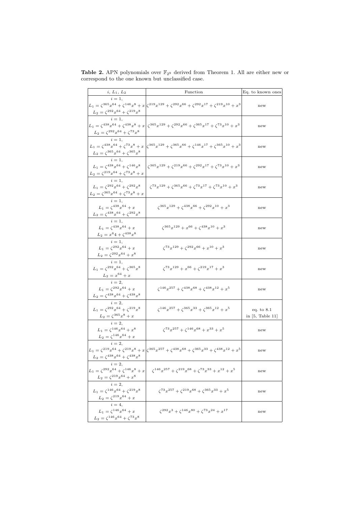| $i, L_1, L_2$                                                                                                               | Function                                                                                                                                                | Eq. to known ones                |
|-----------------------------------------------------------------------------------------------------------------------------|---------------------------------------------------------------------------------------------------------------------------------------------------------|----------------------------------|
| $i=1$ ,<br>$L_2=\zeta^{292}x^{64}+\zeta^{219}x^8$                                                                           | $L_1 = \zeta^{365} x^{64} + \zeta^{146} x^8 + x \Big[ \zeta^{219} x^{129} + \zeta^{292} x^{66} + \zeta^{292} x^{17} + \zeta^{219} x^{10} + x^3 \Big]$   | new                              |
| $i=1,$<br>$L_2 = \zeta^{292} x^{64} + \zeta^{73} x^8$                                                                       | $L_1 = \zeta^{438} x^{64} + \zeta^{438} x^8 + x \left[ \zeta^{365} x^{129} + \zeta^{292} x^{66} + \zeta^{365} x^{17} + \zeta^{73} x^{10} + x^3 \right]$ | new                              |
| $i=1$ ,<br>$L_2 = \zeta^{365} x^{64} + \zeta^{365} x^8$                                                                     | $L_1 = \zeta^{438} x^{64} + \zeta^{73} x^8 + x \left[ \zeta^{365} x^{129} + \zeta^{365} x^{66} + \zeta^{146} x^{17} + \zeta^{365} x^{10} + x^3 \right]$ | new                              |
| $i=1$ ,<br>$L_1 = \zeta^{438} x^{64} + \zeta^{146} x^8$<br>$L_2=\zeta^{219}x^{64}+\zeta^{73}x^8+x$                          | $\zeta^{365}x^{129} + \zeta^{219}x^{66} + \zeta^{292}x^{17} + \zeta^{73}x^{10} + x^3$                                                                   | new                              |
| $i=1,$<br>$L_1 = \zeta^{292} x^{64} + \zeta^{292} x^8$<br>$L_2=\zeta^{365}x^{64}+\zeta^{73}x^8+x$                           | $\zeta^{73}x^{129} + \zeta^{365}x^{66} + \zeta^{73}x^{17} + \zeta^{73}x^{10} + x^3$                                                                     | new                              |
| $i=1$ ,<br>$L_1 = \zeta^{438} x^{64} + x$<br>$L_2=\zeta^{438}x^{64}+\zeta^{292}x^8$                                         | $\zeta^{365}x^{129} + \zeta^{438}x^{66} + \zeta^{292}x^{10} + x^3$                                                                                      | new                              |
| $i=1,$<br>$L_1 = \zeta^{438} x^{64} + x$<br>$L_2 = x^6 4 + \zeta^{438} x^8$                                                 | $\zeta^{365}x^{129} + x^{66} + \zeta^{438}x^{10} + x^3$                                                                                                 | new                              |
| $i=1,$<br>$L_1 = \zeta^{292} x^{64} + x$<br>$L_2 = \zeta^{292} x^{64} + x^8$                                                | $\zeta^{73}x^{129} + \zeta^{292}x^{66} + x^{10} + x^3$                                                                                                  | new                              |
| $i=1,$<br>$L_1 = \zeta^{292} x^{64} + \zeta^{365} x^8$<br>$L_2 = x^{64} + x$                                                | $\zeta^{73}x^{129} + x^{66} + \zeta^{219}x^{17} + x^3$                                                                                                  | new                              |
| $i=2,$<br>$L_1 = \zeta^{292} x^{64} + x$<br>$L_2=\zeta^{438}x^{64}+\zeta^{438}x^8$                                          | $\zeta^{146}x^{257} + \zeta^{438}x^{68} + \zeta^{438}x^{12} + x^5$                                                                                      | new                              |
| $i=2$ ,<br>$L_1 = \zeta^{292} x^{64} + \zeta^{219} x^8$<br>$L_2 = \zeta^{365} x^8 + x$                                      | $\zeta^{146}x^{257} + \zeta^{365}x^{33} + \zeta^{365}x^{12} + x^5$                                                                                      | eq. to 8.1<br>in $[5,$ Table 11] |
| $i=2,$<br>$L_1 = \zeta^{146} x^{64} + x^8$<br>$L_2=\zeta^{146}x^{64}+x$                                                     | $\zeta^{73} x^{257} + \zeta^{146} x^{68} + x^{33} + x^5$                                                                                                | new                              |
| $i=2$ ,<br>$L_2 = \zeta^{438} x^{64} + \zeta^{438} x^8$                                                                     | $L_1 = \zeta^{219} x^{64} + \zeta^{219} x^8 + x \Big  \zeta^{365} x^{257} + \zeta^{438} x^{68} + \zeta^{365} x^{33} + \zeta^{438} x^{12} + x^5$         | new                              |
| $i=2,$<br>$L_1 = \zeta^{292} x^{64} + \zeta^{146} x^8 + x$                                                                  | $\zeta^{146}x^{257} + \zeta^{219}x^{68} + \zeta^{73}x^{33} + x^{12} + x^5$                                                                              | new                              |
| $\frac{L_2 = \zeta^{219} x^{64} + x^8}{i = 2,}$<br>$L_1 = \zeta^{146} x^{64} + \zeta^{219} x^8$                             | $\zeta^{73}x^{257} + \zeta^{219}x^{68} + \zeta^{365}x^{33} + x^5$                                                                                       | new                              |
| $L_2 = \zeta^{219} x^{64} + x$<br>$i = 4,$<br>$L_1 = \zeta^{146} x^{64} + x$<br>$L_2 = \zeta^{146} x^{64} + \zeta^{73} x^8$ | $\zeta^{292}x^3 + \zeta^{146}x^{80} + \zeta^{73}x^{24} + x^{17}$                                                                                        | new                              |

Table 2. APN polynomials over  $\mathbb{F}_{29}$  derived from Theorem 1. All are either new or correspond to the one known but unclassified case.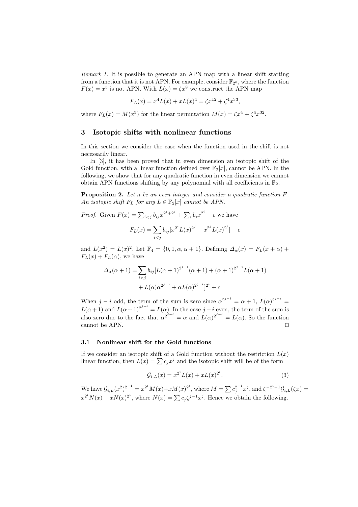Remark 1. It is possible to generate an APN map with a linear shift starting from a function that it is not APN. For example, consider  $\mathbb{F}_{2^6}$ , where the function  $F(x) = x^5$  is not APN. With  $L(x) = \zeta x^8$  we construct the APN map

$$
F_L(x) = x^4 L(x) + xL(x)^4 = \zeta x^{12} + \zeta^4 x^{33},
$$

where  $F_L(x) = M(x^3)$  for the linear permutation  $M(x) = \zeta x^4 + \zeta^4 x^{32}$ .

# 3 Isotopic shifts with nonlinear functions

In this section we consider the case when the function used in the shift is not necessarily linear.

In [3], it has been proved that in even dimension an isotopic shift of the Gold function, with a linear function defined over  $\mathbb{F}_2[x]$ , cannot be APN. In the following, we show that for any quadratic function in even dimension we cannot obtain APN functions shifting by any polynomial with all coefficients in  $\mathbb{F}_2$ .

Proposition 2. Let n be an even integer and consider a quadratic function F. An isotopic shift  $F_L$  for any  $L \in \mathbb{F}_2[x]$  cannot be APN.

*Proof.* Given  $F(x) = \sum_{i \leq j} b_{ij} x^{2^i + 2^j} + \sum_i b_i x^{2^i} + c$  we have

$$
F_L(x) = \sum_{i < j} b_{ij} \left[ x^{2^i} L(x)^{2^j} + x^{2^j} L(x)^{2^i} \right] + c
$$

and  $L(x^2) = L(x)^2$ . Let  $\mathbb{F}_4 = \{0, 1, \alpha, \alpha + 1\}$ . Defining  $\Delta_{\alpha}(x) = F_L(x + \alpha) +$  $F_L(x) + F_L(\alpha)$ , we have

$$
\Delta_{\alpha}(\alpha + 1) = \sum_{i < j} b_{ij} [L(\alpha + 1)^{2^{j-i}} (\alpha + 1) + (\alpha + 1)^{2^{j-i}} L(\alpha + 1) + L(\alpha) \alpha^{2^{j-i}} + \alpha L(\alpha)^{2^{j-i}}]^{2^i} + c
$$

When  $j - i$  odd, the term of the sum is zero since  $\alpha^{2^{j-i}} = \alpha + 1$ ,  $L(\alpha)^{2^{j-i}} =$  $L(\alpha+1)$  and  $L(\alpha+1)^{2^{j-i}} = L(\alpha)$ . In the case  $j-i$  even, the term of the sum is also zero due to the fact that  $\alpha^{2^{j-i}} = \alpha$  and  $L(\alpha)^{2^{j-i}} = L(\alpha)$ . So the function cannot be APN.  $\Box$ 

#### 3.1 Nonlinear shift for the Gold functions

If we consider an isotopic shift of a Gold function without the restriction  $L(x)$ linear function, then  $L(x) = \sum c_j x^j$  and the isotopic shift will be of the form

$$
\mathcal{G}_{i,L}(x) = x^{2^i} L(x) + xL(x)^{2^i}.
$$
\n(3)

We have  $\mathcal{G}_{i,L}(x^2)^{2^{-1}} = x^{2^i} M(x) + x M(x)^{2^i}$ , where  $M = \sum c_j^{2^{-1}} x^j$ , and  $\zeta^{-2^i-1} \mathcal{G}_{i,L}(\zeta x) =$  $x^{2^i} N(x) + xN(x)^{2^i}$ , where  $N(x) = \sum c_j \zeta^{j-1} x^j$ . Hence we obtain the following.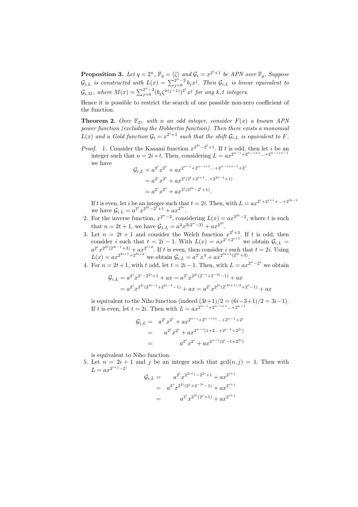**Proposition 3.** Let  $q = 2^n$ ,  $\mathbb{F}_q = \langle \zeta \rangle$  and  $\mathcal{G}_i = x^{2^i+1}$  be APN over  $\mathbb{F}_q$ . Suppose  $\mathcal{G}_{i,L}$  is constructed with  $L(x) = \sum_{j=0}^{2^n-2} b_j x^j$ . Then  $\mathcal{G}_{i,L}$  is linear equivalent to  $\mathcal{G}_{i,M}$ , where  $M(x) = \sum_{j=0}^{2^n-2} (b_j \zeta^{k(j-1)})^{2^t} x^j$  for any k, t integers.

Hence it is possible to restrict the search of one possible non-zero coefficient of the function.

**Theorem 2.** Over  $\mathbb{F}_{2^n}$  with n an odd integer, consider  $F(x)$  a known APN power function (excluding the Dobbertin function). Then there exists a monomial  $L(x)$  and a Gold function  $G_i = x^{2^i+1}$  such that the shift  $G_{i,L}$  is equivalent to F.

*Proof.* 1. Consider the Kasami function  $x^{2^{2t}-2^t+1}$ . If t is odd, then let i be an integer such that  $n = 2i + t$ . Then, considering  $L = ax^{2^{n-i}+2^{n-i+1}...+2^{n-i+t-1}}$ we have

$$
\mathcal{G}_{i,L} = a^{2^{i}} x^{2^{t}} + a x^{2^{n-i}+2^{n-i+1} \dots + 2^{n-i+t-1}+2^{i}}
$$
  
=  $a^{2^{i}} x^{2^{t}} + a x^{2^{i}(2^{t}+2^{t+1} \dots + 2^{2t-1}+1)}$   
=  $a^{2^{i}} x^{2^{t}} + a x^{2^{i}(2^{2t}-2^{t}+1)}$ .

If t is even, let i be an integer such that  $t = 2i$ . Then, with  $L = ax^{2^i + 2^{i+1} + ... + 2^{3i-1}}$ we have  $\mathcal{G}_{i,L} = a^{2^i} x^{2^{2t} - 2^{t} + 1} + a x^{2^{3i}}$ .

- 2. For the inverse function,  $x^{2^{n}-2}$ , considering  $L(x) = ax^{2^{2t}-2}$ , where t is such that  $n = 2t + 1$ , we have  $\mathcal{G}_{1,L} = a^2 x^{2(2^n - 2)} + a x^{2^{2t}}$ .
- 3. Let  $n = 2t + 1$  and consider the Welch function  $x^{2^t+3}$ . If t is odd, then consider i such that  $t = 2i - 1$ . With  $L(x) = ax^{2^i + 2^{i+1}}$  we obtain  $\mathcal{G}_{i,L}$  $a^{2^i}x^{2^{2^i}(2^{2i-1}+3)} + ax^{2^{i+2}}$ . If t is even, then consider i such that  $t = 2i$ . Using  $L(x) = ax^{2^{3i+1}+2^{3i+2}}$  we obtain  $\mathcal{G}_{i,L} = a^{2^i}x^4 + ax^{2^{3i+1}(2^{2i}+3)}$ .
- 4. For  $n = 2t + 1$ , with t odd, let  $t = 2i 1$ . Then, with  $L = ax^{2^{n} 2^{i}}$  we obtain

$$
G_{i,L} = a^{2^{i}} x^{2^{i} - 2^{2i} + 1} + ax = a^{2^{i}} x^{2^{2i} (2^{-i} + 2^{-2i} - 1)} + ax
$$
  
=  $a^{2^{i}} x^{2^{2i} (2^{3i-1} + 2^{2i-1} - 1)} + ax = a^{2^{i}} x^{2^{2i} (2^{(3i+1)/2} + 2^{i} - 1)} + ax$ 

is equivalent to the Niho function (indeed  $(3t+1)/2 = (6i-3+1)/2 = 3i-1$ ). If t is even, let  $t = 2i$ . Then with  $L = ax^{2^{n-i}+2^{n-i+1}...+2^{n-1}}$ 

$$
G_{i,L} = a^{2^{i}} x^{2^{i}} + a x^{2^{n-i}+2^{n-i+1} \dots + 2^{n-1}+2^{i}}
$$
  
= 
$$
a^{2^{i}} x^{2^{i}} + a x^{2^{n-i}(1+2 \dots + 2^{i-1}+2^{2i})}
$$
  
= 
$$
a^{2^{i}} x^{2^{i}} + a x^{2^{n-i}(2^{i}-1+2^{2i})}
$$

is equivalent to Niho function.

5. Let  $n = 2i + 1$  and j be an integer such that  $gcd(n, j) = 1$ . Then with  $L = ax^{2^{i+j}-2^i}$  $\frac{1}{2}$ i+j

$$
G_{i,L} = a^{2^{i}} x^{2^{2i+j}-2^{2i}+1} + a x^{2^{i+j}}
$$
  
=  $a^{2^{i}} x^{2^{2i}(2^{j}+2^{-2i}-1)} + a x^{2^{i+j}}$   
=  $a^{2^{i}} x^{2^{2i}(2^{j}+1)} + a x^{2^{i+j}}$